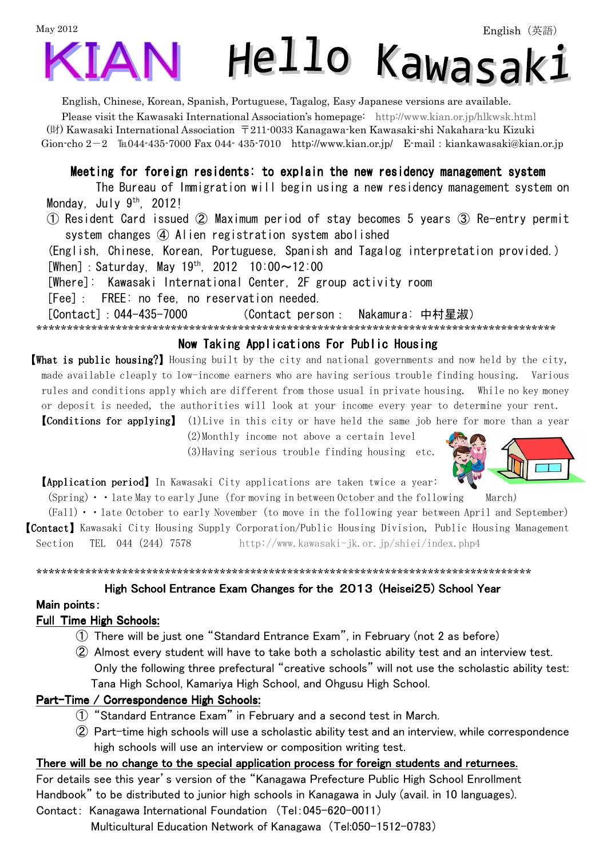# May 2012 Hello Kawasak:  $\Delta$

English, Chinese, Korean, Spanish, Portuguese, Tagalog, Easy Japanese versions are available.

Please visit the Kawasaki International Association's homepage: http://www.kian.or.jp/hlkwsk.html (財) Kawasaki International Association 〒211-0033 Kanagawa-ken Kawasaki-shi Nakahara-ku Kizuki Gion-cho  $2-2$   $\text{Im}044-435-7000$  Fax 044-435-7010 http://www.kian.or.jp/ E-mail: kiankawasaki@kian.or.jp

# Meeting for foreign residents: to explain the new residency management system

 The Bureau of Immigration will begin using a new residency management system on Monday, July  $9<sup>th</sup>$ , 2012!

① Resident Card issued ② Maximum period of stay becomes 5 years ③ Re-entry permit system changes ④ Alien registration system abolished

(English, Chinese, Korean, Portuguese, Spanish and Tagalog interpretation provided.)  $[When] : Saturday, May 19<sup>th</sup>, 2012 10:00~12:00$ 

[Where]: Kawasaki International Center, 2F group activity room

[Fee]: FREE: no fee, no reservation needed.

[Contact]:044-435-7000 (Contact person: Nakamura: 中村星淑)

\*\*\*\*\*\*\*\*\*\*\*\*\*\*\*\*\*\*\*\*\*\*\*\*\*\*\*\*\*\*\*\*\*\*\*\*\*\*\*\*\*\*\*\*\*\*\*\*\*\*\*\*\*\*\*\*\*\*\*\*\*\*\*\*\*\*\*\*\*\*\*\*\*\*\*\*\*\*\*\*\*\*\*\*\*

## Now Taking Applications For Public Housing

【What is public housing?】 Housing built by the city and national governments and now held by the city, made available cleaply to low-income earners who are having serious trouble finding housing. Various rules and conditions apply which are different from those usual in private housing. While no key money or deposit is needed, the authorities will look at your income every year to determine your rent.

**[Conditions for applying]** (1)Live in this city or have held the same job here for more than a year

 (2)Monthly income not above a certain level (3)Having serious trouble finding housing etc.



【Application period】In Kawasaki City applications are taken twice a year:

 $(Spring) \cdot \cdot$  late May to early June (for moving in between October and the following March)

 $(Fall) \cdot \cdot$  late October to early November (to move in the following year between April and September) 【Contact】Kawasaki City Housing Supply Corporation/Public Housing Division, Public Housing Management Section TEL 044 (244) 7578 http://www.kawasaki-jk.or.jp/shiei/index.php4

\*\*\*\*\*\*\*\*\*\*\*\*\*\*\*\*\*\*\*\*\*\*\*\*\*\*\*\*\*\*\*\*\*\*\*\*\*\*\*\*\*\*\*\*\*\*\*\*\*\*\*\*\*\*\*\*\*\*\*\*\*\*\*\*\*\*\*\*\*\*\*\*\*\*\*\*\*\*\*\*\*

#### High School Entrance Exam Changes for the 2013 (Heisei25) School Year

#### Main points:

#### Full Time High Schools:

- ① There will be just one "Standard Entrance Exam", in February (not 2 as before)
- ② Almost every student will have to take both a scholastic ability test and an interview test. Only the following three prefectural "creative schools" will not use the scholastic ability test: Tana High School, Kamariya High School, and Ohgusu High School.

#### Part-Time / Correspondence High Schools:

- ① "Standard Entrance Exam" in February and a second test in March.
- ② Part-time high schools will use a scholastic ability test and an interview, while correspondence high schools will use an interview or composition writing test.

#### There will be no change to the special application process for foreign students and returnees.

For details see this year's version of the "Kanagawa Prefecture Public High School Enrollment Handbook" to be distributed to junior high schools in Kanagawa in July (avail. in 10 languages).

Contact: Kanagawa International Foundation (Tel:045-620-0011) Multicultural Education Network of Kanagawa (Tel:050-1512-0783)